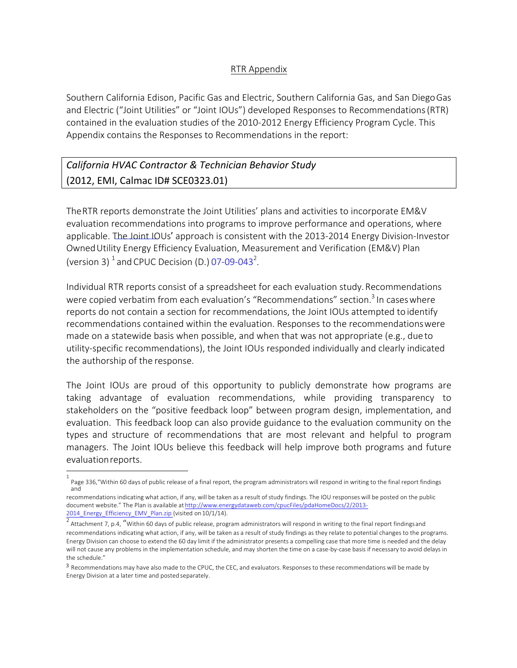## RTR Appendix

Southern California Edison, Pacific Gas and Electric, Southern California Gas, and San DiegoGas and Electric ("Joint Utilities" or "Joint IOUs") developed Responses to Recommendations(RTR) contained in the evaluation studies of the 2010-2012 Energy Efficiency Program Cycle. This Appendix contains the Responses to Recommendations in the report:

# *California HVAC Contractor & Technician Behavior Study*  (2012, EMI, Calmac ID# SCE0323.01)

TheRTR reports demonstrate the Joint Utilities' plans and activities to incorporate EM&V evaluation recommendations into programs to improve performance and operations, where applicable. The Joint IOUs' approach is consistent with the 2013-2014 Energy Division-Investor OwnedUtility Energy Efficiency Evaluation, Measurement and Verification (EM&V) Plan (version 3)  $^1$  and CPUC Decision (D.) 07-09-043<sup>2</sup>.

Individual RTR reports consist of a spreadsheet for each evaluation study.Recommendations were copied verbatim from each evaluation's "Recommendations" section.<sup>3</sup> In cases where reports do not contain a section for recommendations, the Joint IOUs attempted to identify recommendations contained within the evaluation. Responses to the recommendationswere made on a statewide basis when possible, and when that was not appropriate (e.g., dueto utility-specific recommendations), the Joint IOUs responded individually and clearly indicated the authorship of the response.

The Joint IOUs are proud of this opportunity to publicly demonstrate how programs are taking advantage of evaluation recommendations, while providing transparency to stakeholders on the "positive feedback loop" between program design, implementation, and evaluation. This feedback loop can also provide guidance to the evaluation community on the types and structure of recommendations that are most relevant and helpful to program managers. The Joint IOUs believe this feedback will help improve both programs and future evaluationreports.

<sup>1</sup> Page 336,"Within 60 days of public release of a final report, the program administrators will respond in writing to the final report findings and

recommendations indicating what action, if any, will be taken as a result of study findings. The IOU responses will be posted on the public document website." The Plan is available at http://www.energydataweb.com/cpucFiles/pdaHomeDocs/2/2013- 2014\_Energy\_Efficiency\_EMV\_Plan.zip (visited on 10/1/14).

Attachment 7, p.4, "Within 60 days of public release, program administrators will respond in writing to the final report findingsand recommendations indicating what action, if any, will be taken as a result of study findings as they relate to potential changes to the programs. Energy Division can choose to extend the 60 day limit if the administrator presents a compelling case that more time is needed and the delay will not cause any problems in the implementation schedule, and may shorten the time on a case-by-case basis if necessary to avoid delays in the schedule."

<sup>3</sup> Recommendations may have also made to the CPUC, the CEC, and evaluators. Responses to these recommendations will be made by Energy Division at a later time and posted separately.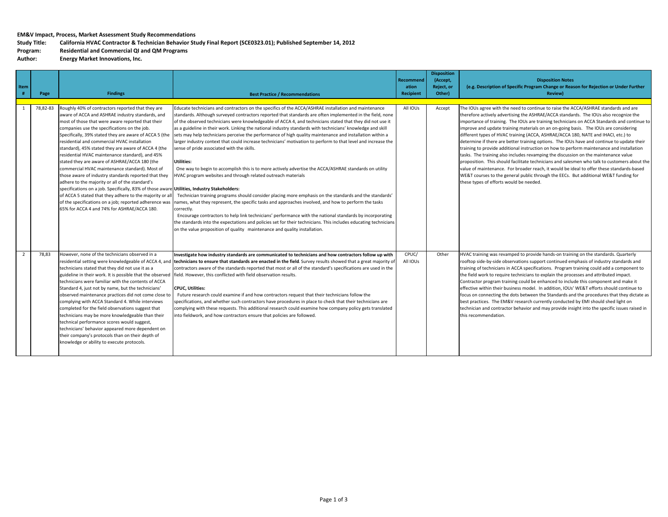#### **EM&V Impact, Process, Market Assessment Study Recommendations**

## Study Title: California HVAC Contractor & Technician Behavior Study Final Report (SCE0323.01); Published September 14, 2012

## **Program: Residential and Commercial QI and QM Programs**

**Author: Energy Market Innovations, Inc.**

|                |          |                                                                                                                                                                                                                                                                                                                                                                                                                                                                                                                                                                                                                                                                                                                                                                                                                                                                                                                 |                                                                                                                                                                                                                                                                                                                                                                                                                                                                                                                                                                                                                                                                                                                                                                                                                                                                                                                                                                                                                                                                                                                                                                                                                                                                                                                                                                                                                                                                     |                   | <b>Disposition</b> |                                                                                                                                                                                                                                                                                                                                                                                                                                                                                                                                                                                                                                                                                                                                                                                                                                                                                                                                                                                                                                                                            |
|----------------|----------|-----------------------------------------------------------------------------------------------------------------------------------------------------------------------------------------------------------------------------------------------------------------------------------------------------------------------------------------------------------------------------------------------------------------------------------------------------------------------------------------------------------------------------------------------------------------------------------------------------------------------------------------------------------------------------------------------------------------------------------------------------------------------------------------------------------------------------------------------------------------------------------------------------------------|---------------------------------------------------------------------------------------------------------------------------------------------------------------------------------------------------------------------------------------------------------------------------------------------------------------------------------------------------------------------------------------------------------------------------------------------------------------------------------------------------------------------------------------------------------------------------------------------------------------------------------------------------------------------------------------------------------------------------------------------------------------------------------------------------------------------------------------------------------------------------------------------------------------------------------------------------------------------------------------------------------------------------------------------------------------------------------------------------------------------------------------------------------------------------------------------------------------------------------------------------------------------------------------------------------------------------------------------------------------------------------------------------------------------------------------------------------------------|-------------------|--------------------|----------------------------------------------------------------------------------------------------------------------------------------------------------------------------------------------------------------------------------------------------------------------------------------------------------------------------------------------------------------------------------------------------------------------------------------------------------------------------------------------------------------------------------------------------------------------------------------------------------------------------------------------------------------------------------------------------------------------------------------------------------------------------------------------------------------------------------------------------------------------------------------------------------------------------------------------------------------------------------------------------------------------------------------------------------------------------|
|                |          |                                                                                                                                                                                                                                                                                                                                                                                                                                                                                                                                                                                                                                                                                                                                                                                                                                                                                                                 |                                                                                                                                                                                                                                                                                                                                                                                                                                                                                                                                                                                                                                                                                                                                                                                                                                                                                                                                                                                                                                                                                                                                                                                                                                                                                                                                                                                                                                                                     | Recommend         | (Accept,           | <b>Disposition Notes</b>                                                                                                                                                                                                                                                                                                                                                                                                                                                                                                                                                                                                                                                                                                                                                                                                                                                                                                                                                                                                                                                   |
| Item           |          |                                                                                                                                                                                                                                                                                                                                                                                                                                                                                                                                                                                                                                                                                                                                                                                                                                                                                                                 |                                                                                                                                                                                                                                                                                                                                                                                                                                                                                                                                                                                                                                                                                                                                                                                                                                                                                                                                                                                                                                                                                                                                                                                                                                                                                                                                                                                                                                                                     | ation             | Reject, or         | (e.g. Description of Specific Program Change or Reason for Rejection or Under Further                                                                                                                                                                                                                                                                                                                                                                                                                                                                                                                                                                                                                                                                                                                                                                                                                                                                                                                                                                                      |
| #              | Page     | <b>Findings</b>                                                                                                                                                                                                                                                                                                                                                                                                                                                                                                                                                                                                                                                                                                                                                                                                                                                                                                 | <b>Best Practice / Recommendations</b>                                                                                                                                                                                                                                                                                                                                                                                                                                                                                                                                                                                                                                                                                                                                                                                                                                                                                                                                                                                                                                                                                                                                                                                                                                                                                                                                                                                                                              | <b>Recipient</b>  | Other)             | <b>Review)</b>                                                                                                                                                                                                                                                                                                                                                                                                                                                                                                                                                                                                                                                                                                                                                                                                                                                                                                                                                                                                                                                             |
|                |          |                                                                                                                                                                                                                                                                                                                                                                                                                                                                                                                                                                                                                                                                                                                                                                                                                                                                                                                 |                                                                                                                                                                                                                                                                                                                                                                                                                                                                                                                                                                                                                                                                                                                                                                                                                                                                                                                                                                                                                                                                                                                                                                                                                                                                                                                                                                                                                                                                     |                   |                    |                                                                                                                                                                                                                                                                                                                                                                                                                                                                                                                                                                                                                                                                                                                                                                                                                                                                                                                                                                                                                                                                            |
|                | 78,82-83 | Roughly 40% of contractors reported that they are<br>aware of ACCA and ASHRAE industry standards, and<br>most of those that were aware reported that their<br>companies use the specifications on the job.<br>Specifically, 39% stated they are aware of ACCA 5 (the<br>residential and commercial HVAC installation<br>standard), 45% stated they are aware of ACCA 4 (the<br>residential HVAC maintenance standard), and 45%<br>stated they are aware of ASHRAE/ACCA 180 (the<br>commercial HVAC maintenance standard). Most of<br>those aware of industry standards reported that they<br>adhere to the majority or all of the standard's<br>specifications on a job. Specifically, 83% of those aware Utilities, Industry Stakeholders:<br>of ACCA 5 stated that they adhere to the majority or al<br>of the specifications on a job; reported adherence was<br>65% for ACCA 4 and 74% for ASHRAE/ACCA 180. | Educate technicians and contractors on the specifics of the ACCA/ASHRAE installation and maintenance<br>standards. Although surveyed contractors reported that standards are often implemented in the field, none<br>of the observed technicians were knowledgeable of ACCA 4, and technicians stated that they did not use it<br>as a guideline in their work. Linking the national industry standards with technicians' knowledge and skill<br>sets may help technicians perceive the performance of high quality maintenance and installation within a<br>larger industry context that could increase technicians' motivation to perform to that level and increase the<br>sense of pride associated with the skills.<br><b>Utilities:</b><br>One way to begin to accomplish this is to more actively advertise the ACCA/ASHRAE standards on utility<br>HVAC program websites and through related outreach materials<br>Technician training programs should consider placing more emphasis on the standards and the standards'<br>names, what they represent, the specific tasks and approaches involved, and how to perform the tasks<br>correctly.<br>Encourage contractors to help link technicians' performance with the national standards by incorporating<br>the standards into the expectations and policies set for their technicians. This includes educating technicians<br>on the value proposition of quality maintenance and quality installation. | All IOUs          | Accept             | The IOUs agree with the need to continue to raise the ACCA/ASHRAE standards and are<br>therefore actively advertising the ASHRAE/ACCA standards. The IOUs also recognize the<br>importance of training. The IOUs are training technicians on ACCA Standards and continue to<br>improve and update training materials on an on-going basis. The IOUs are considering<br>different types of HVAC training (ACCA, ASHRAE/ACCA 180, NATE and IHACI, etc.) to<br>determine if there are better training options. The IOUs have and continue to update their<br>training to provide additional instruction on how to perform maintenance and installation<br>tasks. The training also includes revamping the discussion on the maintenance value<br>proposition. This should facilitate technicians and salesmen who talk to customers about the<br>value of maintenance. For broader reach, it would be ideal to offer these standards-based<br>WE&T courses to the general public through the EECs. But additional WE&T funding for<br>these types of efforts would be needed. |
| $\overline{2}$ | 78.83    | However, none of the technicians observed in a<br>technicians stated that they did not use it as a<br>guideline in their work. It is possible that the observed<br>technicians were familiar with the contents of ACCA<br>Standard 4, just not by name, but the technicians'<br>observed maintenance practices did not come close to<br>complying with ACCA Standard 4. While interviews<br>completed for the field observations suggest that<br>technicians may be more knowledgeable than their<br>technical performance scores would suggest,<br>technicians' behavior appeared more dependent on<br>their company's protocols than on their depth of<br>knowledge or ability to execute protocols.                                                                                                                                                                                                          | Investigate how industry standards are communicated to technicians and how contractors follow up with<br>residential setting were knowledgeable of ACCA 4, and <b> technicians to ensure that standards are enacted in the field</b> . Survey results showed that a great majority of<br>contractors aware of the standards reported that most or all of the standard's specifications are used in the<br>field. However, this conflicted with field observation results.<br><b>CPUC. Utilities:</b><br>Future research could examine if and how contractors request that their technicians follow the<br>specifications, and whether such contractors have procedures in place to check that their technicians are<br>complying with these requests. This additional research could examine how company policy gets translated<br>into fieldwork, and how contractors ensure that policies are followed.                                                                                                                                                                                                                                                                                                                                                                                                                                                                                                                                                           | CPUC/<br>All IOUs | Other              | HVAC training was revamped to provide hands-on training on the standards. Quarterly<br>rooftop side-by-side observations support continued emphasis of industry standards and<br>training of technicians in ACCA specifications. Program training could add a component to<br>the field work to require technicians to explain the processes and attributed impact.<br>Contractor program training could be enhanced to include this component and make it<br>effective within their business model. In addition, IOUs' WE&T efforts should continue to<br>focus on connecting the dots between the Standards and the procedures that they dictate as<br>best practices. The EM&V research currently conducted by EMI should shed light on<br>technician and contractor behavior and may provide insight into the specific issues raised in<br>this recommendation.                                                                                                                                                                                                        |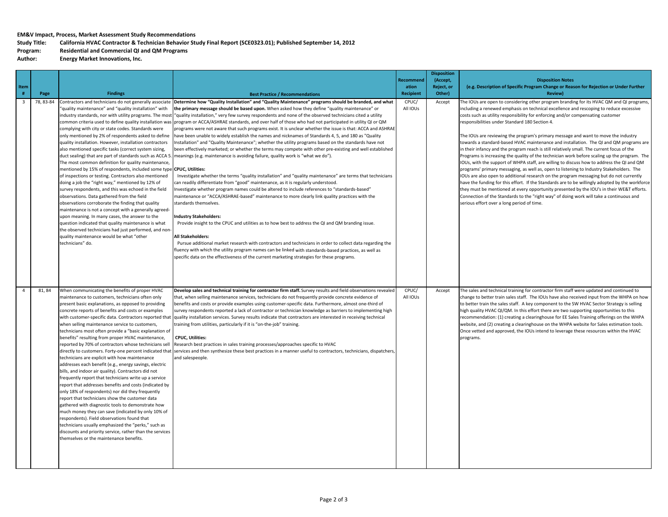#### **EM&V Impact, Process, Market Assessment Study Recommendations**

## Study Title: California HVAC Contractor & Technician Behavior Study Final Report (SCE0323.01); Published September 14, 2012

### **Program: Residential and Commercial QI and QM Programs**

**Author: Energy Market Innovations, Inc.**

| Item<br>#               | Page      | <b>Findings</b>                                                                                                                                                                                                                                                                                                                                                                                                                                                                                                                                                                                                                                                                                                                                                                                                                                                                                                                                                                                                                                                                                                                                                                                                        | <b>Best Practice / Recommendations</b>                                                                                                                                                                                                                                                                                                                                                                                                                                                                                                                                                                                                                                                                                                                                                                                                                                                                                                                                                                                                                                                                                                                                                                                                                                                                                                                                                                                                                                                                                                                                                                                                                                                                                                                                                                                                                                                                                                              | Recommend<br>ation<br><b>Recipient</b> | <b>Disposition</b><br>(Accept,<br>Reject, or<br>Other) | <b>Disposition Notes</b><br>(e.g. Description of Specific Program Change or Reason for Rejection or Under Further<br><b>Review)</b>                                                                                                                                                                                                                                                                                                                                                                                                                                                                                                                                                                                                                                                                                                                                                                                                                                                                                                                                                                                                                                                                                                                                                                                                |
|-------------------------|-----------|------------------------------------------------------------------------------------------------------------------------------------------------------------------------------------------------------------------------------------------------------------------------------------------------------------------------------------------------------------------------------------------------------------------------------------------------------------------------------------------------------------------------------------------------------------------------------------------------------------------------------------------------------------------------------------------------------------------------------------------------------------------------------------------------------------------------------------------------------------------------------------------------------------------------------------------------------------------------------------------------------------------------------------------------------------------------------------------------------------------------------------------------------------------------------------------------------------------------|-----------------------------------------------------------------------------------------------------------------------------------------------------------------------------------------------------------------------------------------------------------------------------------------------------------------------------------------------------------------------------------------------------------------------------------------------------------------------------------------------------------------------------------------------------------------------------------------------------------------------------------------------------------------------------------------------------------------------------------------------------------------------------------------------------------------------------------------------------------------------------------------------------------------------------------------------------------------------------------------------------------------------------------------------------------------------------------------------------------------------------------------------------------------------------------------------------------------------------------------------------------------------------------------------------------------------------------------------------------------------------------------------------------------------------------------------------------------------------------------------------------------------------------------------------------------------------------------------------------------------------------------------------------------------------------------------------------------------------------------------------------------------------------------------------------------------------------------------------------------------------------------------------------------------------------------------------|----------------------------------------|--------------------------------------------------------|------------------------------------------------------------------------------------------------------------------------------------------------------------------------------------------------------------------------------------------------------------------------------------------------------------------------------------------------------------------------------------------------------------------------------------------------------------------------------------------------------------------------------------------------------------------------------------------------------------------------------------------------------------------------------------------------------------------------------------------------------------------------------------------------------------------------------------------------------------------------------------------------------------------------------------------------------------------------------------------------------------------------------------------------------------------------------------------------------------------------------------------------------------------------------------------------------------------------------------------------------------------------------------------------------------------------------------|
| $\overline{\mathbf{3}}$ | 78, 83-84 | 'quality maintenance" and "quality installation" with<br>industry standards, nor with utility programs. The most<br>common criteria used to define quality installation was<br>complying with city or state codes. Standards were<br>only mentioned by 2% of respondents asked to define<br>quality installation. However, installation contractors<br>also mentioned specific tasks (correct system sizing,<br>duct sealing) that are part of standards such as ACCA 5.<br>The most common definition for quality maintenance,<br>mentioned by 15% of respondents, included some type<br>of inspections or testing. Contractors also mentioned<br>doing a job the "right way," mentioned by 12% of<br>survey respondents, and this was echoed in the field<br>observations. Data gathered from the field<br>observations corroborate the finding that quality<br>maintenance is not a concept with a generally agreed-<br>upon meaning. In many cases, the answer to the<br>question indicated that quality maintenance is what<br>the observed technicians had just performed, and non<br>quality maintenance would be what "other<br>technicians" do.                                                               | Contractors and technicians do not generally associate Determine how "Quality Installation" and "Quality Maintenance" programs should be branded, and what<br>the primary message should be based upon. When asked how they define "quality maintenance" or<br>"quality installation," very few survey respondents and none of the observed technicians cited a utility<br>program or ACCA/ASHRAE standards, and over half of those who had not participated in utility QI or QM<br>programs were not aware that such programs exist. It is unclear whether the issue is that: ACCA and ASHRAE<br>have been unable to widely establish the names and nicknames of Standards 4, 5, and 180 as "Quality<br>Installation" and "Quality Maintenance"; whether the utility programs based on the standards have not<br>been effectively marketed; or whether the terms may compete with other pre-existing and well established<br>meanings (e.g. maintenance is avoiding failure, quality work is "what we do").<br><b>CPUC, Utilities:</b><br>Investigate whether the terms "quality installation" and "quality maintenance" are terms that technicians<br>can readily differentiate from "good" maintenance, as it is regularly understood.<br>nvestigate whether program names could be altered to include references to "standards-based"<br>maintenance or "ACCA/ASHRAE-based" maintenance to more clearly link quality practices with the<br>standards themselves.<br><b>Industry Stakeholders:</b><br>Provide insight to the CPUC and utilities as to how best to address the QI and QM branding issue.<br>All Stakeholders:<br>Pursue additional market research with contractors and technicians in order to collect data regarding the<br>fluency with which the utility program names can be linked with standards-based practices, as well as<br>specific data on the effectiveness of the current marketing strategies for these programs. | CPUC/<br>All IOUs                      | Accept                                                 | The IOUs are open to considering other program branding for its HVAC QM and QI programs,<br>including a renewed emphasis on technical excellence and rescoping to reduce excessive<br>costs such as utility responsibility for enforcing and/or compensating customer<br>responsibilities under Standard 180 Section 4.<br>The IOUs are reviewing the program's primary message and want to move the industry<br>towards a standard-based HVAC maintenance and installation. The QI and QM programs are<br>in their infancy and the program reach is still relatively small. The current focus of the<br>Programs is increasing the quality of the technician work before scaling up the program. The<br>IOUs, with the support of WHPA staff, are willing to discuss how to address the QI and QM<br>programs' primary messaging, as well as, open to listening to Industry Stakeholders. The<br>IOUs are also open to additional research on the program messaging but do not currently<br>have the funding for this effort. If the Standards are to be willingly adopted by the workforce<br>they must be mentioned at every opportunity presented by the IOU's in their WE&T efforts.<br>Connection of the Standards to the "right way" of doing work will take a continuous and<br>serious effort over a long period of time. |
| $\overline{4}$          | 81, 84    | When communicating the benefits of proper HVAC<br>maintenance to customers, technicians often only<br>present basic explanations, as opposed to providing<br>concrete reports of benefits and costs or examples<br>with customer-specific data. Contractors reported that<br>when selling maintenance service to customers,<br>technicians most often provide a "basic explanation of<br>benefits" resulting from proper HVAC maintenance,<br>reported by 70% of contractors whose technicians sell<br>technicians are explicit with how maintenance<br>addresses each benefit (e.g., energy savings, electric<br>bills, and indoor air quality). Contractors did not<br>frequently report that technicians write up a service<br>report that addresses benefits and costs (indicated by<br>only 18% of respondents) nor did they frequently<br>report that technicians show the customer data<br>gathered with diagnostic tools to demonstrate how<br>much money they can save (indicated by only 10% of<br>respondents). Field observations found that<br>technicians usually emphasized the "perks," such as<br>discounts and priority service, rather than the services<br>themselves or the maintenance benefits. | Develop sales and technical training for contractor firm staff. Survey results and field observations revealed<br>that, when selling maintenance services, technicians do not frequently provide concrete evidence of<br>benefits and costs or provide examples using customer-specific data. Furthermore, almost one-third of<br>survey respondents reported a lack of contractor or technician knowledge as barriers to implementing high<br>quality installation services. Survey results indicate that contractors are interested in receiving technical<br>training from utilities, particularly if it is "on-the-job" training.<br><b>CPUC, Utilities:</b><br>Research best practices in sales training processes/approaches specific to HVAC<br>directly to customers. Forty-one percent indicated that services and then synthesize these best practices in a manner useful to contractors, technicians, dispatchers,<br>and salespeople.                                                                                                                                                                                                                                                                                                                                                                                                                                                                                                                                                                                                                                                                                                                                                                                                                                                                                                                                                                                                   | CPUC/<br>All IOUs                      | Accept                                                 | The sales and technical training for contractor firm staff were updated and continued to<br>change to better train sales staff. The IOUs have also received input from the WHPA on how<br>to better train the sales staff. A key component to the SW HVAC Sector Strategy is selling<br>high quality HVAC QI/QM. In this effort there are two supporting opportunities to this<br>recommendation: (1) creating a clearinghouse for EE Sales Training offerings on the WHPA<br>website, and (2) creating a clearinghouse on the WHPA website for Sales estimation tools.<br>Once vetted and approved, the IOUs intend to leverage these resources within the HVAC<br>programs.                                                                                                                                                                                                                                                                                                                                                                                                                                                                                                                                                                                                                                                      |